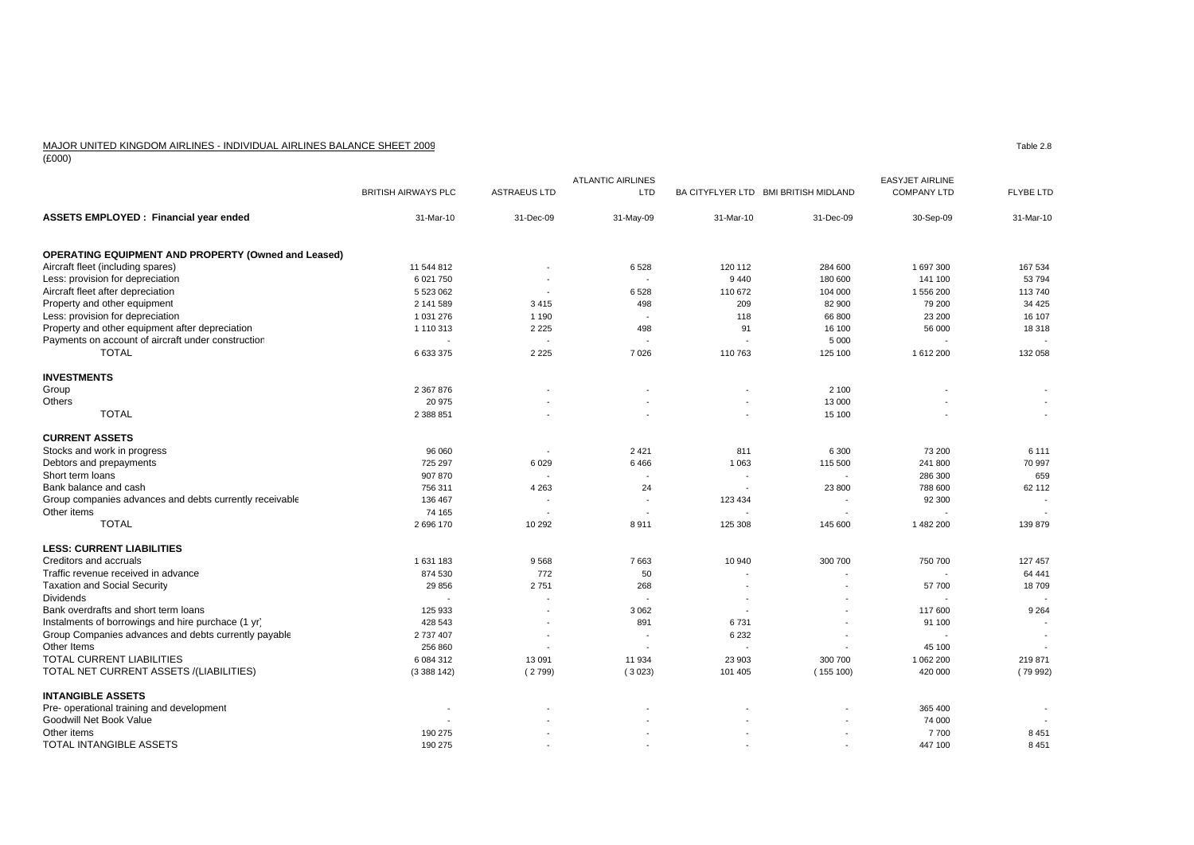## MAJOR UNITED KINGDOM AIRLINES - INDIVIDUAL AIRLINES BALANCE SHEET 2009

(£000)

|                                                            |                            |                     | <b>ATLANTIC AIRLINES</b> |                                      |                          | <b>EASYJET AIRLINE</b> |                          |
|------------------------------------------------------------|----------------------------|---------------------|--------------------------|--------------------------------------|--------------------------|------------------------|--------------------------|
|                                                            | <b>BRITISH AIRWAYS PLC</b> | <b>ASTRAEUS LTD</b> | LTD                      | BA CITYFLYER LTD BMI BRITISH MIDLAND |                          | <b>COMPANY LTD</b>     | <b>FLYBE LTD</b>         |
| <b>ASSETS EMPLOYED: Financial year ended</b>               | 31-Mar-10                  | 31-Dec-09           | 31-May-09                | 31-Mar-10                            | 31-Dec-09                | 30-Sep-09              | 31-Mar-10                |
| <b>OPERATING EQUIPMENT AND PROPERTY (Owned and Leased)</b> |                            |                     |                          |                                      |                          |                        |                          |
| Aircraft fleet (including spares)                          | 11 544 812                 |                     | 6528                     | 120 112                              | 284 600                  | 1 697 300              | 167 534                  |
| Less: provision for depreciation                           | 6 021 750                  |                     | $\overline{\phantom{a}}$ | 9 4 4 0                              | 180 600                  | 141 100                | 53 794                   |
| Aircraft fleet after depreciation                          | 5 523 062                  |                     | 6528                     | 110 672                              | 104 000                  | 1 556 200              | 113740                   |
| Property and other equipment                               | 2 141 589                  | 3415                | 498                      | 209                                  | 82 900                   | 79 200                 | 34 4 25                  |
| Less: provision for depreciation                           | 1 031 276                  | 1 1 9 0             |                          | 118                                  | 66 800                   | 23 200                 | 16 107                   |
| Property and other equipment after depreciation            | 1 110 313                  | 2 2 2 5             | 498                      | 91                                   | 16 100                   | 56 000                 | 18 3 18                  |
| Payments on account of aircraft under construction         |                            |                     |                          |                                      | 5 0 0 0                  |                        |                          |
| <b>TOTAL</b>                                               | 6 633 375                  | 2 2 2 5             | 7026                     | 110 763                              | 125 100                  | 1612200                | 132 058                  |
| <b>INVESTMENTS</b>                                         |                            |                     |                          |                                      |                          |                        |                          |
| Group                                                      | 2 367 876                  |                     |                          |                                      | 2 100                    |                        |                          |
| Others                                                     | 20 975                     |                     |                          |                                      | 13 000                   |                        |                          |
| <b>TOTAL</b>                                               | 2 388 851                  |                     |                          |                                      | 15 100                   |                        | $\sim$                   |
| <b>CURRENT ASSETS</b>                                      |                            |                     |                          |                                      |                          |                        |                          |
| Stocks and work in progress                                | 96 060                     |                     | 2421                     | 811                                  | 6 3 0 0                  | 73 200                 | 6 1 1 1                  |
| Debtors and prepayments                                    | 725 297                    | 6 0 2 9             | 6466                     | 1 0 6 3                              | 115 500                  | 241 800                | 70 997                   |
| Short term loans                                           | 907 870                    |                     |                          |                                      |                          | 286 300                | 659                      |
| Bank balance and cash                                      | 756 311                    | 4 2 6 3             | 24                       |                                      | 23 800                   | 788 600                | 62 112                   |
| Group companies advances and debts currently receivable    | 136 467                    |                     | $\blacksquare$           | 123 434                              |                          | 92 300                 | $\overline{\phantom{a}}$ |
| Other items                                                | 74 165                     |                     |                          |                                      |                          |                        |                          |
| <b>TOTAL</b>                                               | 2696170                    | 10 29 2             | 8911                     | 125 308                              | 145 600                  | 1482 200               | 139 879                  |
| <b>LESS: CURRENT LIABILITIES</b>                           |                            |                     |                          |                                      |                          |                        |                          |
| Creditors and accruals                                     | 1631183                    | 9568                | 7663                     | 10 940                               | 300 700                  | 750 700                | 127 457                  |
| Traffic revenue received in advance                        | 874 530                    | 772                 | 50                       |                                      |                          |                        | 64 441                   |
| <b>Taxation and Social Security</b>                        | 29 856                     | 2751                | 268                      |                                      |                          | 57 700                 | 18709                    |
| <b>Dividends</b>                                           |                            |                     |                          | $\overline{\phantom{a}}$             | $\overline{\phantom{a}}$ |                        |                          |
| Bank overdrafts and short term loans                       | 125 933                    |                     | 3 0 6 2                  | $\overline{\phantom{a}}$             | $\overline{\phantom{a}}$ | 117 600                | 9 2 6 4                  |
| Instalments of borrowings and hire purchace (1 yr)         | 428 543                    |                     | 891                      | 6731                                 |                          | 91 100                 |                          |
| Group Companies advances and debts currently payable       | 2 737 407                  |                     |                          | 6 2 3 2                              |                          |                        |                          |
| Other Items                                                | 256 860                    |                     |                          |                                      |                          | 45 100                 |                          |
| TOTAL CURRENT LIABILITIES                                  | 6 084 312                  | 13 091              | 11 934                   | 23 903                               | 300 700                  | 1 062 200              | 219 871                  |
| TOTAL NET CURRENT ASSETS /(LIABILITIES)                    | (3388142)                  | (2799)              | (3023)                   | 101 405                              | (155100)                 | 420 000                | (79992)                  |
| <b>INTANGIBLE ASSETS</b>                                   |                            |                     |                          |                                      |                          |                        |                          |
| Pre- operational training and development                  | $\overline{\phantom{a}}$   |                     |                          |                                      |                          | 365 400                |                          |
| Goodwill Net Book Value                                    |                            |                     |                          |                                      |                          | 74 000                 |                          |
| Other items                                                | 190 275                    |                     |                          |                                      |                          | 7700                   | 8 4 5 1                  |
| TOTAL INTANGIBLE ASSETS                                    | 190 275                    |                     | $\sim$                   |                                      |                          | 447 100                | 8 4 5 1                  |

Table 2.8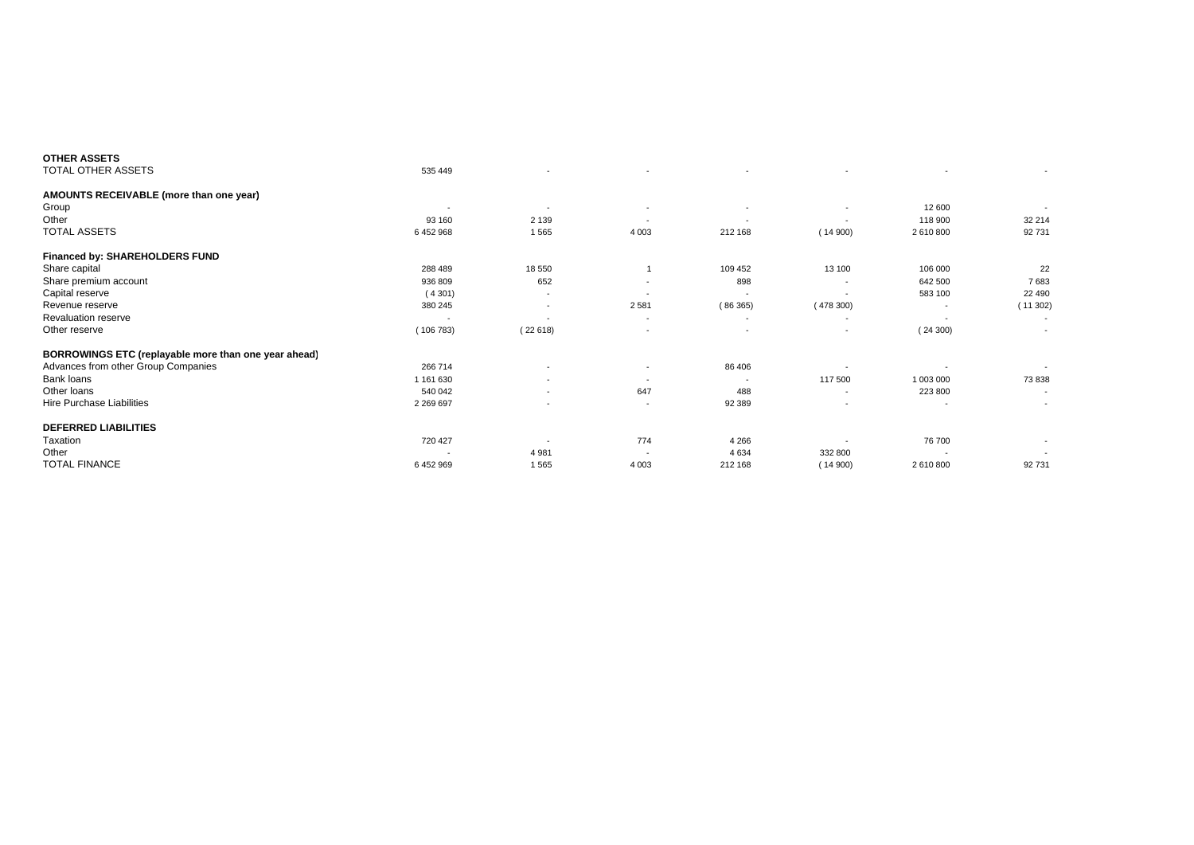| <b>OTHER ASSETS</b>                                  |                |                          |                          |                          |                          |                          |                          |
|------------------------------------------------------|----------------|--------------------------|--------------------------|--------------------------|--------------------------|--------------------------|--------------------------|
| TOTAL OTHER ASSETS                                   | 535 449        |                          | $\overline{\phantom{a}}$ | $\overline{\phantom{a}}$ |                          | $\overline{\phantom{a}}$ | $\sim$                   |
| AMOUNTS RECEIVABLE (more than one year)              |                |                          |                          |                          |                          |                          |                          |
| Group                                                | $\blacksquare$ | $\overline{\phantom{a}}$ | $\overline{\phantom{a}}$ | $\overline{\phantom{a}}$ | $\overline{\phantom{a}}$ | 12 600                   |                          |
| Other                                                | 93 160         | 2 1 3 9                  | $\overline{\phantom{a}}$ | $\overline{\phantom{a}}$ | $\overline{\phantom{a}}$ | 118 900                  | 32 214                   |
| <b>TOTAL ASSETS</b>                                  | 6452968        | 1565                     | 4 0 0 3                  | 212 168                  | (14900)                  | 2 610 800                | 92 731                   |
| <b>Financed by: SHAREHOLDERS FUND</b>                |                |                          |                          |                          |                          |                          |                          |
| Share capital                                        | 288 489        | 18 550                   |                          | 109 452                  | 13 100                   | 106 000                  | 22                       |
| Share premium account                                | 936 809        | 652                      | $\overline{\phantom{a}}$ | 898                      |                          | 642 500                  | 7683                     |
| Capital reserve                                      | (4301)         | $\overline{\phantom{a}}$ |                          |                          |                          | 583 100                  | 22 490                   |
| Revenue reserve                                      | 380 245        | $\overline{\phantom{a}}$ | 2581                     | (86365)                  | (478300)                 |                          | (11302)                  |
| <b>Revaluation reserve</b>                           |                | $\overline{\phantom{a}}$ | $\overline{\phantom{a}}$ | $\overline{\phantom{a}}$ | $\overline{\phantom{a}}$ | $\overline{\phantom{a}}$ |                          |
| Other reserve                                        | (106783)       | (22618)                  | $\overline{\phantom{0}}$ | $\overline{\phantom{a}}$ |                          | (24300)                  |                          |
| BORROWINGS ETC (replayable more than one year ahead) |                |                          |                          |                          |                          |                          |                          |
| Advances from other Group Companies                  | 266 714        | $\overline{\phantom{a}}$ | $\overline{\phantom{a}}$ | 86 406                   |                          |                          |                          |
| Bank loans                                           | 1 161 630      | $\overline{\phantom{a}}$ | $\overline{\phantom{a}}$ |                          | 117 500                  | 1 003 000                | 73 838                   |
| Other loans                                          | 540 042        | $\overline{\phantom{a}}$ | 647                      | 488                      | $\overline{\phantom{a}}$ | 223 800                  | $\overline{\phantom{0}}$ |
| Hire Purchase Liabilities                            | 2 2 6 9 6 9 7  |                          | $\overline{\phantom{a}}$ | 92 389                   |                          | $\sim$                   | $\sim$                   |
| <b>DEFERRED LIABILITIES</b>                          |                |                          |                          |                          |                          |                          |                          |
| Taxation                                             | 720 427        | $\overline{\phantom{a}}$ | 774                      | 4 2 6 6                  | $\blacksquare$           | 76 700                   | $\overline{\phantom{a}}$ |
| Other                                                |                | 4 9 8 1                  |                          | 4 6 3 4                  | 332 800                  |                          |                          |
| <b>TOTAL FINANCE</b>                                 | 6452969        | 1565                     | 4 0 0 3                  | 212 168                  | (14900)                  | 2 610 800                | 92 731                   |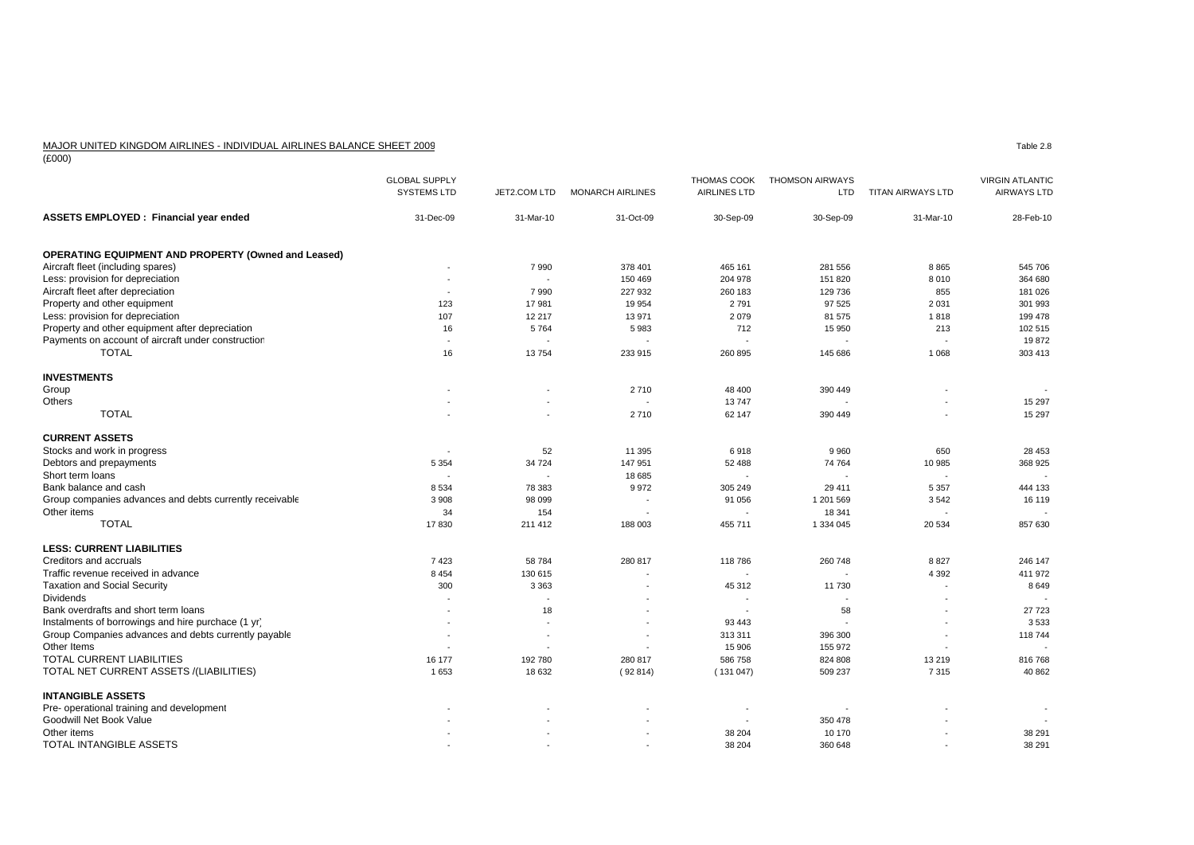## MAJOR UNITED KINGDOM AIRLINES - INDIVIDUAL AIRLINES BALANCE SHEET 2009

(£000)

|                                                            | <b>GLOBAL SUPPLY</b><br><b>SYSTEMS LTD</b> | JET2.COM LTD             | <b>MONARCH AIRLINES</b> | THOMAS COOK<br><b>AIRLINES LTD</b> | <b>THOMSON AIRWAYS</b><br>LTD | TITAN AIRWAYS LTD        | <b>VIRGIN ATLANTIC</b><br><b>AIRWAYS LTD</b> |
|------------------------------------------------------------|--------------------------------------------|--------------------------|-------------------------|------------------------------------|-------------------------------|--------------------------|----------------------------------------------|
| ASSETS EMPLOYED : Financial year ended                     | 31-Dec-09                                  | 31-Mar-10                | 31-Oct-09               | 30-Sep-09                          | 30-Sep-09                     | 31-Mar-10                | 28-Feb-10                                    |
| <b>OPERATING EQUIPMENT AND PROPERTY (Owned and Leased)</b> |                                            |                          |                         |                                    |                               |                          |                                              |
| Aircraft fleet (including spares)                          |                                            | 7 9 9 0                  | 378 401                 | 465 161                            | 281 556                       | 8865                     | 545 706                                      |
| Less: provision for depreciation                           |                                            | $\overline{\phantom{a}}$ | 150 469                 | 204 978                            | 151 820                       | 8 0 1 0                  | 364 680                                      |
| Aircraft fleet after depreciation                          | $\overline{\phantom{a}}$                   | 7990                     | 227 932                 | 260 183                            | 129 736                       | 855                      | 181 026                                      |
| Property and other equipment                               | 123                                        | 17981                    | 19 954                  | 2791                               | 97 525                        | 2 0 3 1                  | 301 993                                      |
| Less: provision for depreciation                           | 107                                        | 12 217                   | 13 971                  | 2079                               | 81 575                        | 1818                     | 199 478                                      |
| Property and other equipment after depreciation            | 16                                         | 5764                     | 5983                    | 712                                | 15 950                        | 213                      | 102 515                                      |
| Payments on account of aircraft under construction         | $\overline{\phantom{a}}$                   |                          |                         |                                    |                               |                          | 19872                                        |
| <b>TOTAL</b>                                               | 16                                         | 13754                    | 233 915                 | 260 895                            | 145 686                       | 1 0 6 8                  | 303 413                                      |
| <b>INVESTMENTS</b>                                         |                                            |                          |                         |                                    |                               |                          |                                              |
| Group                                                      |                                            |                          | 2710                    | 48 400                             | 390 449                       |                          |                                              |
| Others                                                     |                                            |                          |                         | 13747                              |                               |                          | 15 297                                       |
| <b>TOTAL</b>                                               |                                            |                          | 2710                    | 62 147                             | 390 449                       | ٠                        | 15 297                                       |
|                                                            |                                            |                          |                         |                                    |                               |                          |                                              |
| <b>CURRENT ASSETS</b>                                      |                                            |                          |                         |                                    |                               |                          |                                              |
| Stocks and work in progress                                |                                            | 52                       | 11 395                  | 6918                               | 9 9 6 0                       | 650                      | 28 453                                       |
| Debtors and prepayments                                    | 5 3 5 4                                    | 34 7 24                  | 147 951                 | 52 488                             | 74 764                        | 10 985                   | 368 925                                      |
| Short term loans                                           |                                            |                          | 18 685                  |                                    |                               |                          |                                              |
| Bank balance and cash                                      | 8 5 3 4                                    | 78 383                   | 9972                    | 305 249                            | 29 411                        | 5 3 5 7                  | 444 133                                      |
| Group companies advances and debts currently receivable    | 3 9 0 8                                    | 98 099                   |                         | 91 056                             | 1 201 569                     | 3542                     | 16 119                                       |
| Other items                                                | 34                                         | 154                      |                         |                                    | 18 341                        |                          |                                              |
| <b>TOTAL</b>                                               | 17830                                      | 211 412                  | 188 003                 | 455 711                            | 1 334 045                     | 20 534                   | 857 630                                      |
| <b>LESS: CURRENT LIABILITIES</b>                           |                                            |                          |                         |                                    |                               |                          |                                              |
| Creditors and accruals                                     | 7423                                       | 58 784                   | 280 817                 | 118786                             | 260 748                       | 8827                     | 246 147                                      |
| Traffic revenue received in advance                        | 8 4 5 4                                    | 130 615                  |                         |                                    |                               | 4 3 9 2                  | 411 972                                      |
| <b>Taxation and Social Security</b>                        | 300                                        | 3 3 6 3                  |                         | 45 312                             | 11 730                        | $\overline{\phantom{a}}$ | 8649                                         |
| <b>Dividends</b>                                           |                                            |                          |                         |                                    |                               |                          |                                              |
| Bank overdrafts and short term loans                       |                                            | 18                       |                         |                                    | 58                            |                          | 27 723                                       |
| Instalments of borrowings and hire purchace (1 yr)         |                                            |                          |                         | 93 4 43                            |                               |                          | 3533                                         |
| Group Companies advances and debts currently payable       |                                            |                          |                         | 313 311                            | 396 300                       | ÷,                       | 118 744                                      |
| Other Items                                                |                                            |                          |                         | 15 906                             | 155 972                       |                          |                                              |
| TOTAL CURRENT LIABILITIES                                  | 16 177                                     | 192 780                  | 280 817                 | 586 758                            | 824 808                       | 13 219                   | 816768                                       |
| TOTAL NET CURRENT ASSETS /(LIABILITIES)                    | 1653                                       | 18 632                   | (92814)                 | (131047)                           | 509 237                       | 7315                     | 40 862                                       |
| <b>INTANGIBLE ASSETS</b>                                   |                                            |                          |                         |                                    |                               |                          |                                              |
| Pre- operational training and development                  |                                            |                          |                         |                                    |                               |                          |                                              |
| Goodwill Net Book Value                                    |                                            |                          |                         |                                    | 350 478                       |                          |                                              |
| Other items                                                |                                            |                          |                         | 38 204                             | 10 170                        |                          | 38 291                                       |
| <b>TOTAL INTANGIBLE ASSETS</b>                             |                                            |                          |                         | 38 204                             | 360 648                       |                          | 38 291                                       |

Table 2.8